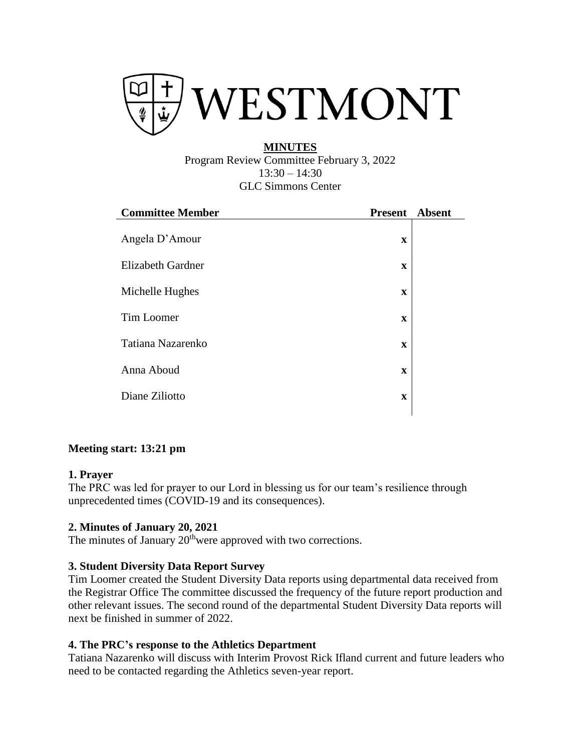

### **MINUTES** Program Review Committee February 3, 2022  $13:30 - 14:30$ GLC Simmons Center

| <b>Committee Member</b> | <b>Present</b> | <b>Absent</b> |
|-------------------------|----------------|---------------|
| Angela D'Amour          | $\mathbf X$    |               |
| Elizabeth Gardner       | X              |               |
| Michelle Hughes         | $\mathbf x$    |               |
| Tim Loomer              | $\mathbf x$    |               |
| Tatiana Nazarenko       | X              |               |
| Anna Aboud              | $\mathbf X$    |               |
| Diane Ziliotto          | $\mathbf x$    |               |
|                         |                |               |

# **Meeting start: 13:21 pm**

### **1. Prayer**

The PRC was led for prayer to our Lord in blessing us for our team's resilience through unprecedented times (COVID-19 and its consequences).

# **2. [Minutes of January 20, 2021](https://www.westmont.edu/sites/default/files/users/user766/11_16_2021%20Minutes_0.pdf)**

The minutes of January 20<sup>th</sup>were approved with two corrections.

# **3. [Student](https://www.westmont.edu/sites/default/files/users/user766/2021-2022%20records%20and%20assignments_January.pdf) Diversity Data Report Survey**

Tim Loomer created the Student Diversity Data reports using departmental data received from the Registrar Office The committee discussed the frequency of the future report production and other relevant issues. The second round of the departmental Student Diversity Data reports will next be finished in summer of 2022.

### **4. The PRC's response to the Athletics Department**

Tatiana Nazarenko will discuss with Interim Provost Rick Ifland current and future leaders who need to be contacted regarding the Athletics seven-year report.